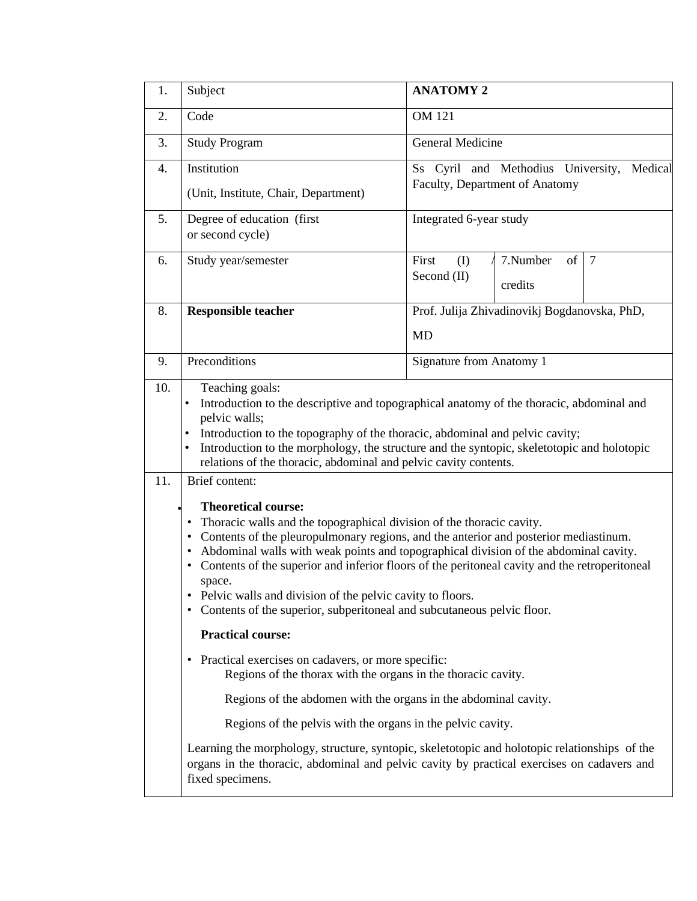| 1.  | <b>ANATOMY 2</b><br>Subject                                                                                                                                                                                                                                                                                                                                                                                                                                                                                                                                                                                                                                                                                                                                                                                                                                                                                                                                                                                                                                                                                                                                                                                                                                                                                                                                                                                                                                   |                                                                                       |  |  |  |  |  |
|-----|---------------------------------------------------------------------------------------------------------------------------------------------------------------------------------------------------------------------------------------------------------------------------------------------------------------------------------------------------------------------------------------------------------------------------------------------------------------------------------------------------------------------------------------------------------------------------------------------------------------------------------------------------------------------------------------------------------------------------------------------------------------------------------------------------------------------------------------------------------------------------------------------------------------------------------------------------------------------------------------------------------------------------------------------------------------------------------------------------------------------------------------------------------------------------------------------------------------------------------------------------------------------------------------------------------------------------------------------------------------------------------------------------------------------------------------------------------------|---------------------------------------------------------------------------------------|--|--|--|--|--|
| 2.  | Code                                                                                                                                                                                                                                                                                                                                                                                                                                                                                                                                                                                                                                                                                                                                                                                                                                                                                                                                                                                                                                                                                                                                                                                                                                                                                                                                                                                                                                                          | <b>OM 121</b>                                                                         |  |  |  |  |  |
| 3.  | <b>Study Program</b>                                                                                                                                                                                                                                                                                                                                                                                                                                                                                                                                                                                                                                                                                                                                                                                                                                                                                                                                                                                                                                                                                                                                                                                                                                                                                                                                                                                                                                          | General Medicine                                                                      |  |  |  |  |  |
| 4.  | Institution<br>(Unit, Institute, Chair, Department)                                                                                                                                                                                                                                                                                                                                                                                                                                                                                                                                                                                                                                                                                                                                                                                                                                                                                                                                                                                                                                                                                                                                                                                                                                                                                                                                                                                                           | Ss Cyril and Methodius University,<br>Medical<br>Faculty, Department of Anatomy       |  |  |  |  |  |
| 5.  | Degree of education (first<br>or second cycle)                                                                                                                                                                                                                                                                                                                                                                                                                                                                                                                                                                                                                                                                                                                                                                                                                                                                                                                                                                                                                                                                                                                                                                                                                                                                                                                                                                                                                | Integrated 6-year study                                                               |  |  |  |  |  |
| 6.  | Study year/semester                                                                                                                                                                                                                                                                                                                                                                                                                                                                                                                                                                                                                                                                                                                                                                                                                                                                                                                                                                                                                                                                                                                                                                                                                                                                                                                                                                                                                                           | First<br>7.Number<br>$\overline{7}$<br>$($ $\Gamma$<br>of<br>Second $(II)$<br>credits |  |  |  |  |  |
| 8.  | <b>Responsible teacher</b>                                                                                                                                                                                                                                                                                                                                                                                                                                                                                                                                                                                                                                                                                                                                                                                                                                                                                                                                                                                                                                                                                                                                                                                                                                                                                                                                                                                                                                    | Prof. Julija Zhivadinovikj Bogdanovska, PhD,                                          |  |  |  |  |  |
|     |                                                                                                                                                                                                                                                                                                                                                                                                                                                                                                                                                                                                                                                                                                                                                                                                                                                                                                                                                                                                                                                                                                                                                                                                                                                                                                                                                                                                                                                               | <b>MD</b>                                                                             |  |  |  |  |  |
| 9.  | Preconditions<br><b>Signature from Anatomy 1</b>                                                                                                                                                                                                                                                                                                                                                                                                                                                                                                                                                                                                                                                                                                                                                                                                                                                                                                                                                                                                                                                                                                                                                                                                                                                                                                                                                                                                              |                                                                                       |  |  |  |  |  |
| 11. | Introduction to the descriptive and topographical anatomy of the thoracic, abdominal and<br>pelvic walls;<br>Introduction to the topography of the thoracic, abdominal and pelvic cavity;<br>Introduction to the morphology, the structure and the syntopic, skeletotopic and holotopic<br>relations of the thoracic, abdominal and pelvic cavity contents.<br>Brief content:<br><b>Theoretical course:</b><br>Thoracic walls and the topographical division of the thoracic cavity.<br>Contents of the pleuropulmonary regions, and the anterior and posterior mediastinum.<br>Abdominal walls with weak points and topographical division of the abdominal cavity.<br>Contents of the superior and inferior floors of the peritoneal cavity and the retroperitoneal<br>$\bullet$<br>space.<br>Pelvic walls and division of the pelvic cavity to floors.<br>Contents of the superior, subperitoneal and subcutaneous pelvic floor.<br>$\bullet$<br><b>Practical course:</b><br>Practical exercises on cadavers, or more specific:<br>٠<br>Regions of the thorax with the organs in the thoracic cavity.<br>Regions of the abdomen with the organs in the abdominal cavity.<br>Regions of the pelvis with the organs in the pelvic cavity.<br>Learning the morphology, structure, syntopic, skeletotopic and holotopic relationships of the<br>organs in the thoracic, abdominal and pelvic cavity by practical exercises on cadavers and<br>fixed specimens. |                                                                                       |  |  |  |  |  |
|     |                                                                                                                                                                                                                                                                                                                                                                                                                                                                                                                                                                                                                                                                                                                                                                                                                                                                                                                                                                                                                                                                                                                                                                                                                                                                                                                                                                                                                                                               |                                                                                       |  |  |  |  |  |
|     |                                                                                                                                                                                                                                                                                                                                                                                                                                                                                                                                                                                                                                                                                                                                                                                                                                                                                                                                                                                                                                                                                                                                                                                                                                                                                                                                                                                                                                                               |                                                                                       |  |  |  |  |  |
|     |                                                                                                                                                                                                                                                                                                                                                                                                                                                                                                                                                                                                                                                                                                                                                                                                                                                                                                                                                                                                                                                                                                                                                                                                                                                                                                                                                                                                                                                               |                                                                                       |  |  |  |  |  |
|     |                                                                                                                                                                                                                                                                                                                                                                                                                                                                                                                                                                                                                                                                                                                                                                                                                                                                                                                                                                                                                                                                                                                                                                                                                                                                                                                                                                                                                                                               |                                                                                       |  |  |  |  |  |
|     |                                                                                                                                                                                                                                                                                                                                                                                                                                                                                                                                                                                                                                                                                                                                                                                                                                                                                                                                                                                                                                                                                                                                                                                                                                                                                                                                                                                                                                                               |                                                                                       |  |  |  |  |  |
|     |                                                                                                                                                                                                                                                                                                                                                                                                                                                                                                                                                                                                                                                                                                                                                                                                                                                                                                                                                                                                                                                                                                                                                                                                                                                                                                                                                                                                                                                               |                                                                                       |  |  |  |  |  |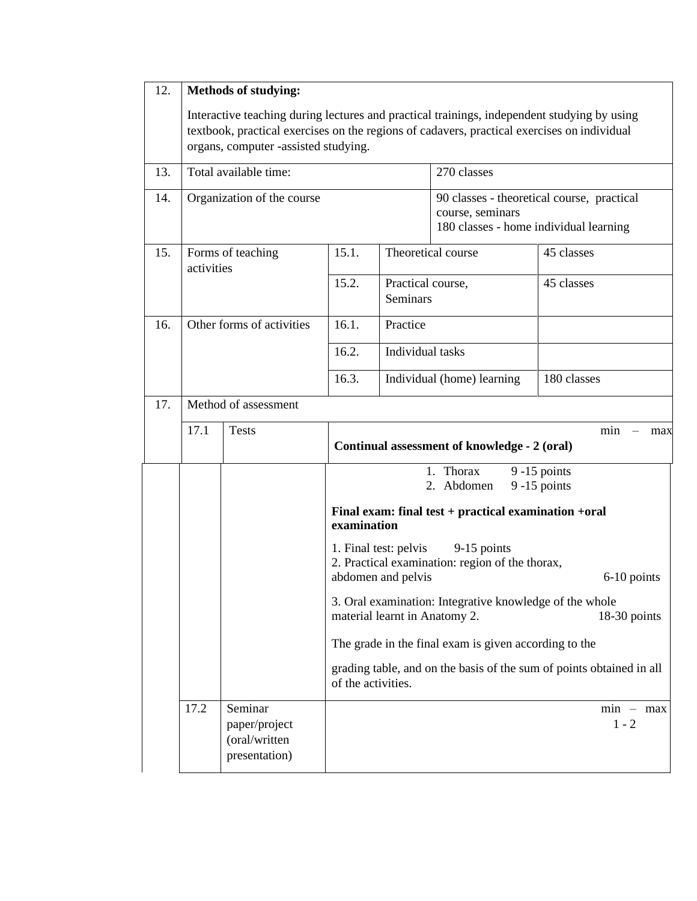| 12. | <b>Methods of studying:</b>                                                                                                                                                                                                        |                                                            |                                                                                                                                                                                                                                                                                                                                                                                                 |                               |                                                                                                          |                        |  |  |  |
|-----|------------------------------------------------------------------------------------------------------------------------------------------------------------------------------------------------------------------------------------|------------------------------------------------------------|-------------------------------------------------------------------------------------------------------------------------------------------------------------------------------------------------------------------------------------------------------------------------------------------------------------------------------------------------------------------------------------------------|-------------------------------|----------------------------------------------------------------------------------------------------------|------------------------|--|--|--|
|     | Interactive teaching during lectures and practical trainings, independent studying by using<br>textbook, practical exercises on the regions of cadavers, practical exercises on individual<br>organs, computer -assisted studying. |                                                            |                                                                                                                                                                                                                                                                                                                                                                                                 |                               |                                                                                                          |                        |  |  |  |
| 13. |                                                                                                                                                                                                                                    | Total available time:                                      |                                                                                                                                                                                                                                                                                                                                                                                                 |                               | 270 classes                                                                                              |                        |  |  |  |
| 14. |                                                                                                                                                                                                                                    | Organization of the course                                 |                                                                                                                                                                                                                                                                                                                                                                                                 |                               | 90 classes - theoretical course, practical<br>course, seminars<br>180 classes - home individual learning |                        |  |  |  |
| 15. | activities                                                                                                                                                                                                                         | Forms of teaching                                          | 15.1.                                                                                                                                                                                                                                                                                                                                                                                           | Theoretical course            | 45 classes                                                                                               |                        |  |  |  |
|     |                                                                                                                                                                                                                                    |                                                            | 15.2.                                                                                                                                                                                                                                                                                                                                                                                           | Practical course,<br>Seminars |                                                                                                          | 45 classes             |  |  |  |
| 16. |                                                                                                                                                                                                                                    | Other forms of activities                                  | 16.1.                                                                                                                                                                                                                                                                                                                                                                                           | Practice                      |                                                                                                          |                        |  |  |  |
|     |                                                                                                                                                                                                                                    |                                                            | 16.2.                                                                                                                                                                                                                                                                                                                                                                                           |                               | Individual tasks                                                                                         |                        |  |  |  |
|     |                                                                                                                                                                                                                                    |                                                            | 16.3.                                                                                                                                                                                                                                                                                                                                                                                           |                               | Individual (home) learning                                                                               | 180 classes            |  |  |  |
| 17. | Method of assessment                                                                                                                                                                                                               |                                                            |                                                                                                                                                                                                                                                                                                                                                                                                 |                               |                                                                                                          |                        |  |  |  |
|     | 17.1<br><b>Tests</b><br>min<br>Continual assessment of knowledge - 2 (oral)                                                                                                                                                        |                                                            |                                                                                                                                                                                                                                                                                                                                                                                                 |                               |                                                                                                          |                        |  |  |  |
|     |                                                                                                                                                                                                                                    |                                                            | 1. Thorax<br>$9 - 15$ points<br>2. Abdomen<br>$9-15$ points                                                                                                                                                                                                                                                                                                                                     |                               |                                                                                                          |                        |  |  |  |
|     | Final exam: final test + practical examination +oral<br>examination                                                                                                                                                                |                                                            |                                                                                                                                                                                                                                                                                                                                                                                                 |                               |                                                                                                          |                        |  |  |  |
|     |                                                                                                                                                                                                                                    |                                                            | 1. Final test: pelvis<br>9-15 points<br>2. Practical examination: region of the thorax,<br>abdomen and pelvis<br>6-10 points<br>3. Oral examination: Integrative knowledge of the whole<br>material learnt in Anatomy 2.<br>18-30 points<br>The grade in the final exam is given according to the<br>grading table, and on the basis of the sum of points obtained in all<br>of the activities. |                               |                                                                                                          |                        |  |  |  |
|     |                                                                                                                                                                                                                                    |                                                            |                                                                                                                                                                                                                                                                                                                                                                                                 |                               |                                                                                                          |                        |  |  |  |
|     |                                                                                                                                                                                                                                    |                                                            |                                                                                                                                                                                                                                                                                                                                                                                                 |                               |                                                                                                          |                        |  |  |  |
|     |                                                                                                                                                                                                                                    |                                                            |                                                                                                                                                                                                                                                                                                                                                                                                 |                               |                                                                                                          |                        |  |  |  |
|     | 17.2                                                                                                                                                                                                                               | Seminar<br>paper/project<br>(oral/written<br>presentation) |                                                                                                                                                                                                                                                                                                                                                                                                 |                               |                                                                                                          | $min - max$<br>$1 - 2$ |  |  |  |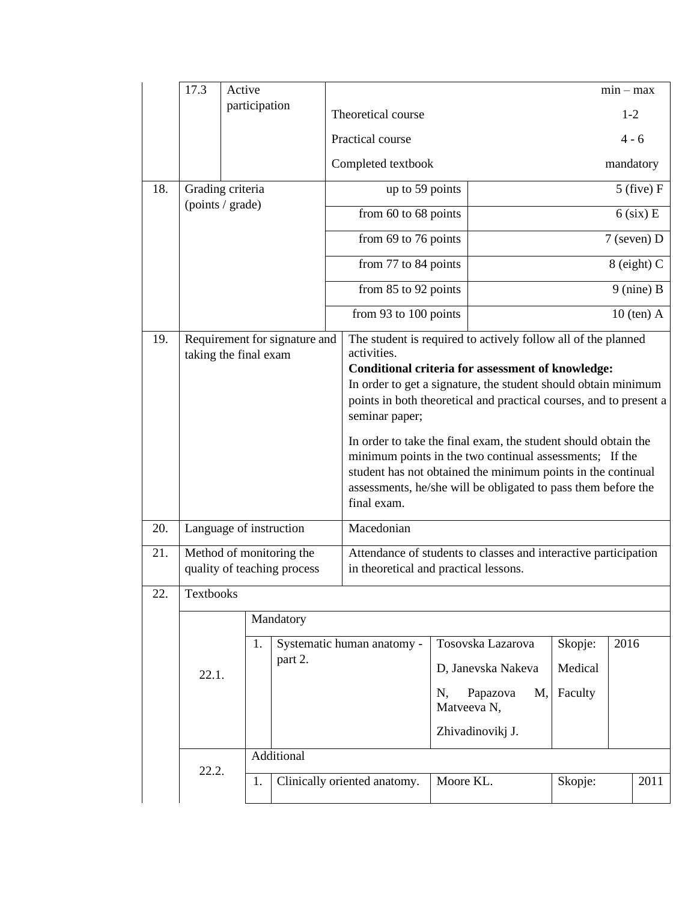|     | 17.3                                                    | Active        |           |                               |                                                                                                                                                                                                                                                                           |                |                   |               | $min - max$ |         |
|-----|---------------------------------------------------------|---------------|-----------|-------------------------------|---------------------------------------------------------------------------------------------------------------------------------------------------------------------------------------------------------------------------------------------------------------------------|----------------|-------------------|---------------|-------------|---------|
|     |                                                         | participation |           |                               | Theoretical course                                                                                                                                                                                                                                                        |                |                   |               | $1 - 2$     |         |
|     |                                                         |               |           |                               | Practical course                                                                                                                                                                                                                                                          |                |                   |               |             | $4 - 6$ |
|     |                                                         |               |           |                               | Completed textbook                                                                                                                                                                                                                                                        |                |                   | mandatory     |             |         |
| 18. | Grading criteria<br>(points / grade)                    |               |           |                               | up to 59 points                                                                                                                                                                                                                                                           |                |                   | $5$ (five) F  |             |         |
|     |                                                         |               |           |                               | from 60 to 68 points                                                                                                                                                                                                                                                      |                |                   | $6$ (six) E   |             |         |
|     |                                                         |               |           |                               | from 69 to 76 points                                                                                                                                                                                                                                                      |                |                   | $7$ (seven) D |             |         |
|     |                                                         |               |           | from 77 to 84 points          |                                                                                                                                                                                                                                                                           |                | 8 (eight) C       |               |             |         |
|     |                                                         |               |           | from 85 to 92 points          |                                                                                                                                                                                                                                                                           |                | $9$ (nine) B      |               |             |         |
|     |                                                         |               |           | from 93 to 100 points         |                                                                                                                                                                                                                                                                           |                | $10$ (ten) A      |               |             |         |
| 19. | taking the final exam                                   |               |           | Requirement for signature and | The student is required to actively follow all of the planned<br>activities.<br>Conditional criteria for assessment of knowledge:<br>In order to get a signature, the student should obtain minimum                                                                       |                |                   |               |             |         |
|     |                                                         |               |           |                               | points in both theoretical and practical courses, and to present a<br>seminar paper;                                                                                                                                                                                      |                |                   |               |             |         |
|     |                                                         |               |           |                               | In order to take the final exam, the student should obtain the<br>minimum points in the two continual assessments; If the<br>student has not obtained the minimum points in the continual<br>assessments, he/she will be obligated to pass them before the<br>final exam. |                |                   |               |             |         |
| 20. | Language of instruction                                 |               |           |                               | Macedonian                                                                                                                                                                                                                                                                |                |                   |               |             |         |
| 21. | Method of monitoring the<br>quality of teaching process |               |           |                               | Attendance of students to classes and interactive participation<br>in theoretical and practical lessons.                                                                                                                                                                  |                |                   |               |             |         |
| 22. | Textbooks                                               |               |           |                               |                                                                                                                                                                                                                                                                           |                |                   |               |             |         |
|     |                                                         |               | Mandatory |                               |                                                                                                                                                                                                                                                                           |                |                   |               |             |         |
|     |                                                         |               | 1.        |                               | Systematic human anatomy -                                                                                                                                                                                                                                                |                | Tosovska Lazarova | Skopje:       | 2016        |         |
|     | part 2.<br>22.1.                                        |               |           |                               | D, Janevska Nakeva                                                                                                                                                                                                                                                        | Medical        |                   |               |             |         |
|     |                                                         |               |           |                               | N,<br>Matveeva N,                                                                                                                                                                                                                                                         | Papazova<br>M, | Faculty           |               |             |         |
|     |                                                         |               |           |                               |                                                                                                                                                                                                                                                                           |                | Zhivadinovikj J.  |               |             |         |
|     |                                                         |               |           | Additional                    |                                                                                                                                                                                                                                                                           |                |                   |               |             |         |
|     | 22.2.                                                   |               | 1.        |                               | Clinically oriented anatomy.                                                                                                                                                                                                                                              |                | Moore KL.         | Skopje:       |             | 2011    |